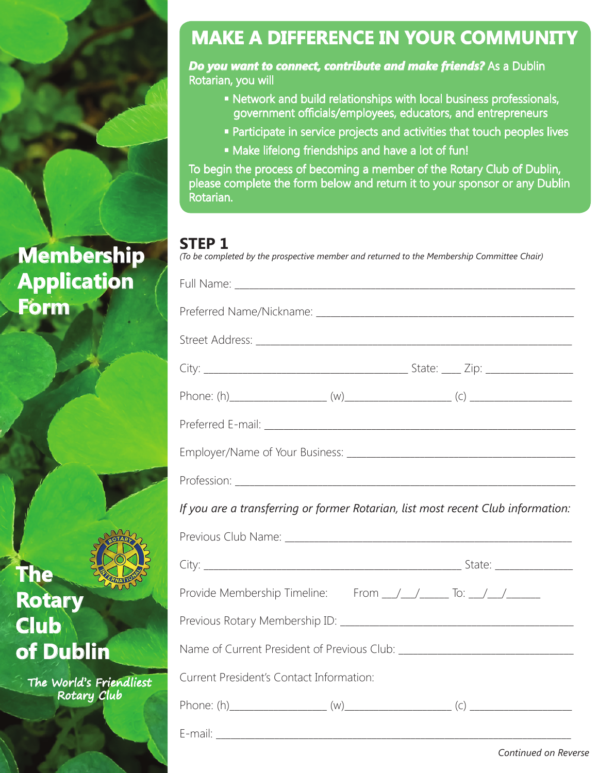# **Membership Application Form**

## **MAKE A DIFFERENCE IN YOUR COMMUNITY**

*Do you want to connect, contribute and make friends?* **As a Dublin** Rotarian, you will

- Network and build relationships with local business professionals, government officials/employees, educators, and entrepreneurs
- Participate in service projects and activities that touch peoples lives
- Make lifelong friendships and have a lot of fun!

To begin the process of becoming a member of the Rotary Club of Dublin, please complete the form below and return it to your sponsor or any Dublin Rotarian.

#### **STEP 1**

*(To be completed by the prospective member and returned to the Membership Committee Chair)*

| If you are a transferring or former Rotarian, list most recent Club information:                                                                                                                                               |  |
|--------------------------------------------------------------------------------------------------------------------------------------------------------------------------------------------------------------------------------|--|
|                                                                                                                                                                                                                                |  |
|                                                                                                                                                                                                                                |  |
| Provide Membership Timeline: From __/__/______ To: __/__/______                                                                                                                                                                |  |
| Previous Rotary Membership ID: \\contact \\contact \\contact \\contact \\contact \\contact \\contact \\contact \\contact \\contact \\contact \\contact \\contact \\contact \\contact \\contact \\contact \\contact \\contact \ |  |
|                                                                                                                                                                                                                                |  |
| Current President's Contact Information:                                                                                                                                                                                       |  |
|                                                                                                                                                                                                                                |  |
|                                                                                                                                                                                                                                |  |

**The Rotary Club of Dublin**

> The World's Friendliest Rotary Club